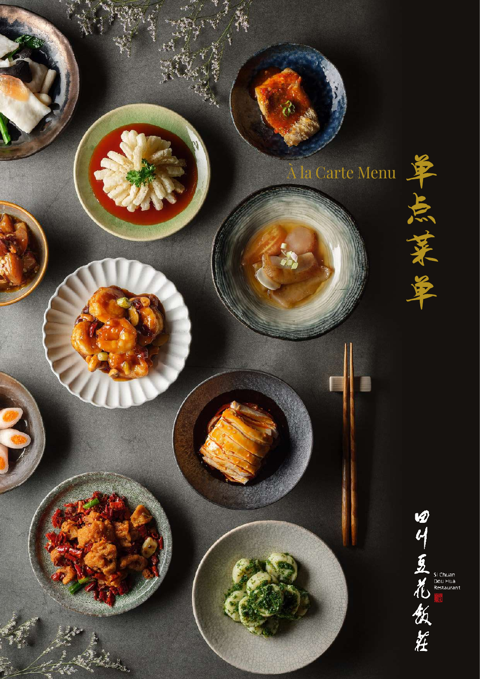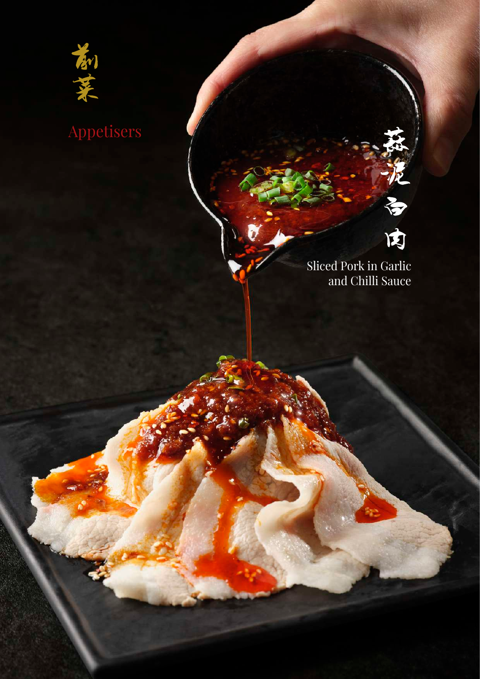

Appetisers

# 无动肉

Sliced Pork in Garlic and Chilli Sauce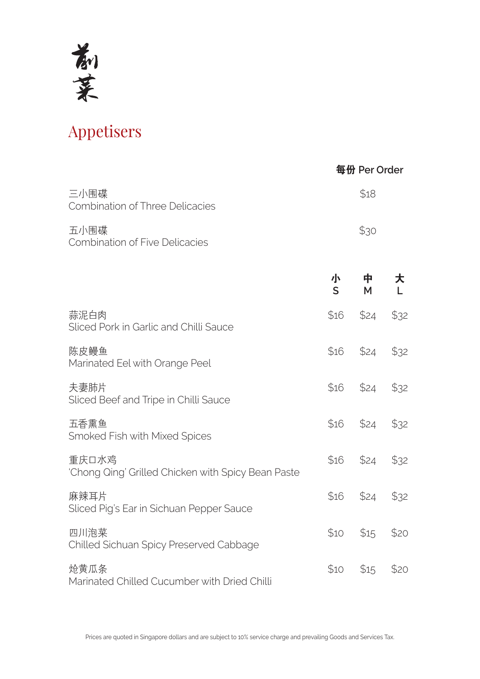

#### Appetisers

|                                                             |        | 每份 Per Order |         |
|-------------------------------------------------------------|--------|--------------|---------|
| 三小围碟<br><b>Combination of Three Delicacies</b>              |        | \$18         |         |
| 五小围碟<br><b>Combination of Five Delicacies</b>               |        | \$30         |         |
|                                                             | 小<br>S | 中<br>M       | 大<br>L. |
| 蒜泥白肉<br>Sliced Pork in Garlic and Chilli Sauce              | \$16   | \$24         | \$32    |
| 陈皮鳗鱼<br>Marinated Eel with Orange Peel                      | \$16   | \$24         | \$32    |
| 夫妻肺片<br>Sliced Beef and Tripe in Chilli Sauce               | \$16   | \$24         | \$32    |
| 五香熏鱼<br><b>Smoked Fish with Mixed Spices</b>                | \$16   | \$24         | \$32    |
| 重庆口水鸡<br>'Chong Qing' Grilled Chicken with Spicy Bean Paste | \$16   | \$24         | \$32    |
| 麻辣耳片<br>Sliced Pig's Ear in Sichuan Pepper Sauce            | \$16   | \$24         | \$32    |
| 四川泡菜<br>Chilled Sichuan Spicy Preserved Cabbage             | \$10   | \$15         | \$20    |
| 炝黄瓜条<br>Marinated Chilled Cucumber with Dried Chilli        | \$10   | \$15         | \$20    |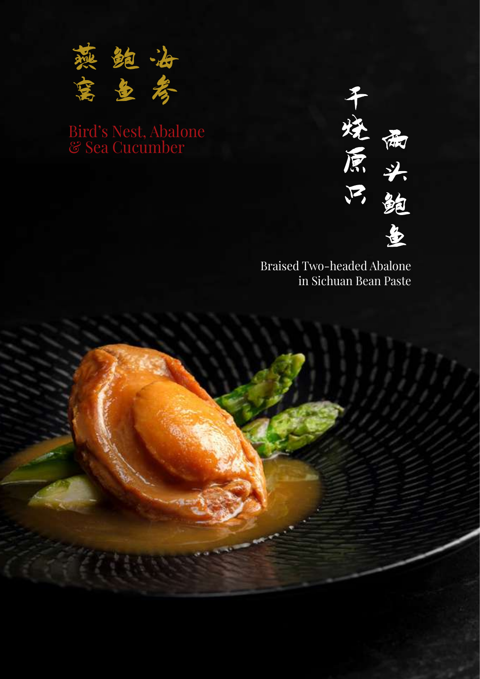

Bird's Nest, Abalone & Sea Cucumber



Braised Two-headed Abalone in Sichuan Bean Paste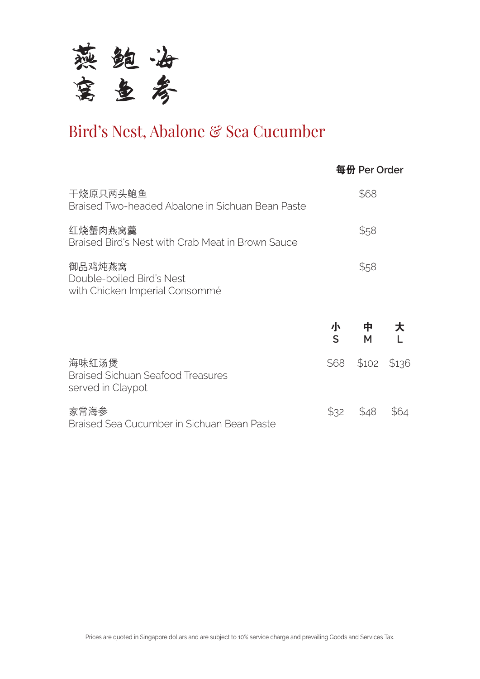蒸鲍洛

#### Bird's Nest, Abalone & Sea Cucumber

|                                                                       | 每份 Per Order |
|-----------------------------------------------------------------------|--------------|
| 干烧原只两头鲍鱼<br>Braised Two-headed Abalone in Sichuan Bean Paste          | \$68         |
| 红烧蟹肉燕窝羹<br>Braised Bird's Nest with Crab Meat in Brown Sauce          | \$58         |
| 御品鸡炖燕窝<br>Double-boiled Bird's Nest<br>with Chicken Imperial Consommé | \$58         |

|                                                                        | 小<br>S | 中                |      |
|------------------------------------------------------------------------|--------|------------------|------|
| 海味红汤煲<br><b>Braised Sichuan Seafood Treasures</b><br>served in Claypot |        | \$68 \$102 \$136 |      |
| 家常海参<br>Braised Sea Cucumber in Sichuan Bean Paste                     | \$32   | A8               | \$64 |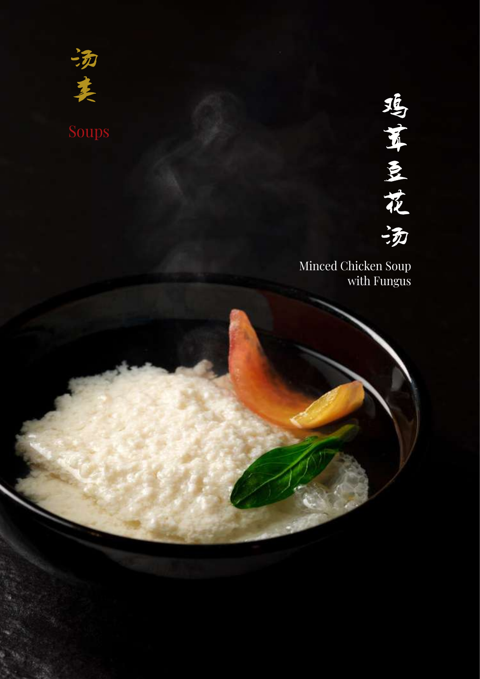

Soups



Minced Chicken Soup with Fungus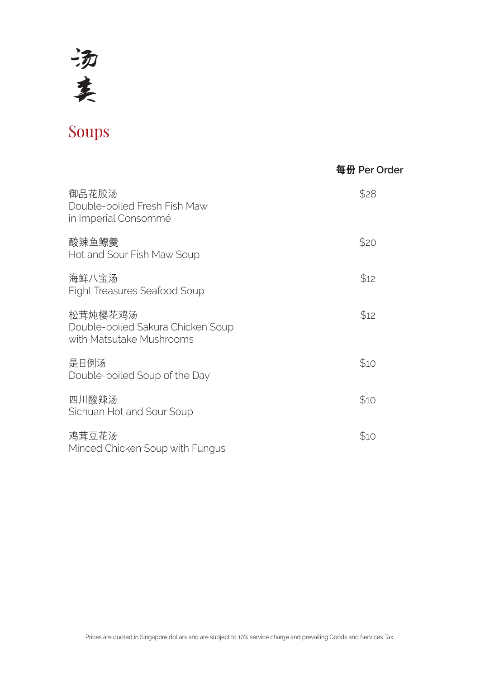

### Soups

|                                                                          | 每份 Per Order |
|--------------------------------------------------------------------------|--------------|
| 御品花胶汤<br>Double-boiled Fresh Fish Maw<br>in Imperial Consommé            | \$28         |
| 酸辣鱼鳔羹<br>Hot and Sour Fish Maw Soup                                      | \$20         |
| 海鲜八宝汤<br><b>Eight Treasures Seafood Soup</b>                             | \$12         |
| 松茸炖樱花鸡汤<br>Double-boiled Sakura Chicken Soup<br>with Matsutake Mushrooms | \$12         |
| 是日例汤<br>Double-boiled Soup of the Day                                    | \$10         |
| 四川酸辣汤<br>Sichuan Hot and Sour Soup                                       | \$10         |
| 鸡茸豆花汤<br>Minced Chicken Soup with Fungus                                 | \$10         |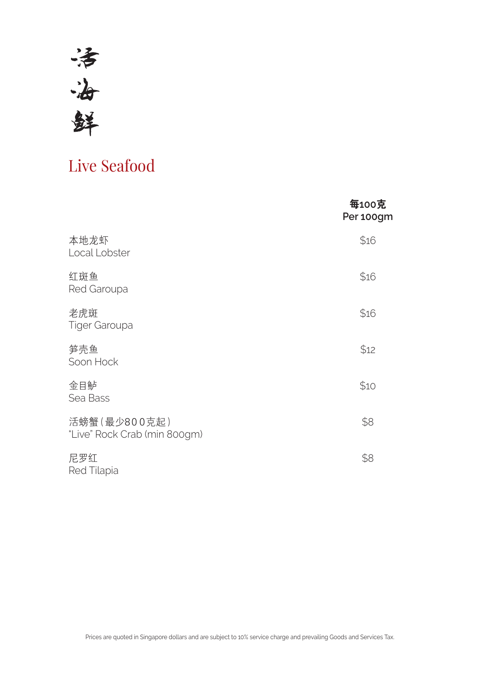

#### Live Seafood

|                                              | 每100克<br>Per 100gm |
|----------------------------------------------|--------------------|
| 本地龙虾<br>Local Lobster                        | \$16               |
| 红斑鱼<br>Red Garoupa                           | \$16               |
| 老虎斑<br><b>Tiger Garoupa</b>                  | \$16               |
| 笋壳鱼<br>Soon Hock                             | \$12               |
| 金目鲈<br>Sea Bass                              | \$10               |
| 活螃蟹(最少800克起)<br>"Live" Rock Crab (min 800gm) | \$8                |
| 尼罗红<br>Red Tilapia                           | \$8                |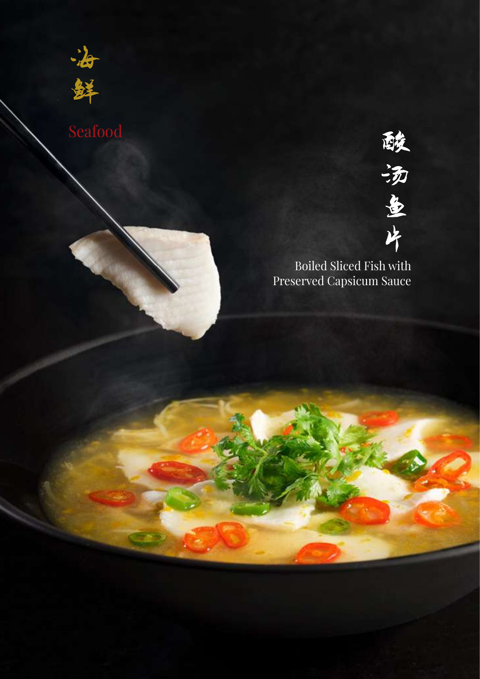

# 酸汤鱼片

Boiled Sliced Fish with Preserved Capsicum Sauce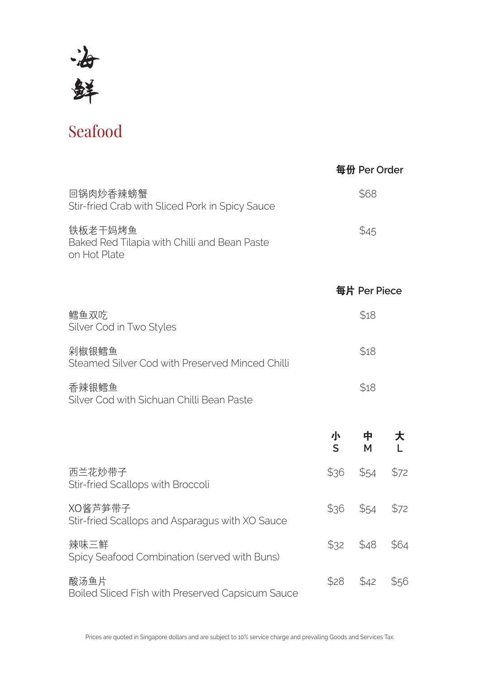

### Seafood

|                                                                         |        | 每份 Per Order |        |
|-------------------------------------------------------------------------|--------|--------------|--------|
| 回锅肉炒香辣螃蟹<br>Stir-fried Crab with Sliced Pork in Spicy Sauce             |        | \$68         |        |
| 铁板老干妈烤鱼<br>Baked Red Tilapia with Chilli and Bean Paste<br>on Hot Plate |        | \$45         |        |
|                                                                         |        | 每片 Per Piece |        |
| 鳕鱼双吃<br>Silver Cod in Two Styles                                        |        | \$18         |        |
| 剁椒银鳕鱼<br>Steamed Silver Cod with Preserved Minced Chilli                |        | \$18         |        |
| 香辣银鳕鱼<br>Silver Cod with Sichuan Chilli Bean Paste                      |        | \$18         |        |
|                                                                         | 小<br>S | 中<br>M       | 大<br>L |
| 西兰花炒带子<br>Stir-fried Scallops with Broccoli                             | \$36   | \$54         | \$72   |
| XO酱芦笋带子<br>Stir-fried Scallops and Asparagus with XO Sauce              | \$36   | \$54         | \$72   |
| 辣味三鲜<br>Spicy Seafood Combination (served with Buns)                    | \$32   | \$48         | \$64   |
| 酸汤鱼片<br>Boiled Sliced Fish with Preserved Capsicum Sauce                | \$28   | \$42         | \$56   |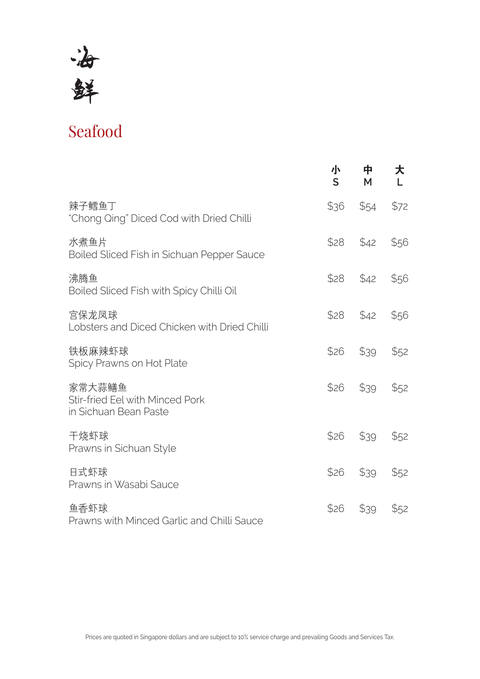

#### Seafood

|                                                                           | 小<br>S | 中<br>M | 大    |
|---------------------------------------------------------------------------|--------|--------|------|
| 辣子鳕鱼丁<br>"Chong Qing" Diced Cod with Dried Chilli                         | \$36   | \$54   | \$72 |
| 水煮鱼片<br>Boiled Sliced Fish in Sichuan Pepper Sauce                        | \$28   | \$42   | \$56 |
| 沸腾鱼<br>Boiled Sliced Fish with Spicy Chilli Oil                           | \$28   | \$42   | \$56 |
| 宫保龙凤球<br>Lobsters and Diced Chicken with Dried Chilli                     | \$28   | \$42   | \$56 |
| 铁板麻辣虾球<br>Spicy Prawns on Hot Plate                                       | \$26   | \$39   | \$52 |
| 家常大蒜鳝鱼<br><b>Stir-fried Eel with Minced Pork</b><br>in Sichuan Bean Paste | \$26   | \$39   | \$52 |
| 干烧虾球<br>Prawns in Sichuan Style                                           | \$26   | \$39   | \$52 |
| 日式虾球<br>Prawns in Wasabi Sauce                                            | \$26   | \$39   | \$52 |
| 鱼香虾球<br>Prawns with Minced Garlic and Chilli Sauce                        | \$26   | \$39   | \$52 |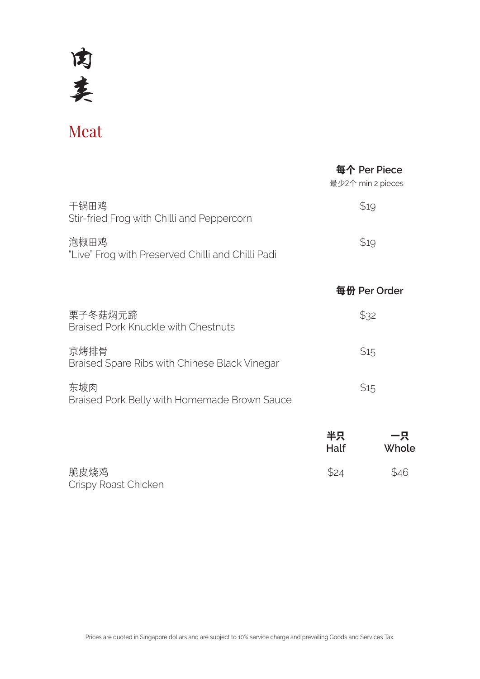## 肉美

#### Meat

|                                                           |            | 每个 Per Piece<br>最少2个 min 2 pieces |
|-----------------------------------------------------------|------------|-----------------------------------|
| 干锅田鸡<br>Stir-fried Frog with Chilli and Peppercorn        |            | \$19                              |
| 泡椒田鸡<br>"Live" Frog with Preserved Chilli and Chilli Padi |            | \$19                              |
|                                                           |            | 每份 Per Order                      |
| 栗子冬菇焖元蹄<br><b>Braised Pork Knuckle with Chestnuts</b>     |            | \$32                              |
| 京烤排骨<br>Braised Spare Ribs with Chinese Black Vinegar     |            | \$15                              |
| 东坡肉<br>Braised Pork Belly with Homemade Brown Sauce       |            | \$15                              |
|                                                           | 半只<br>Half | 一只<br>Whole                       |
| 脆皮烧鸡<br>Crispy Roast Chicken                              | \$24       | \$46                              |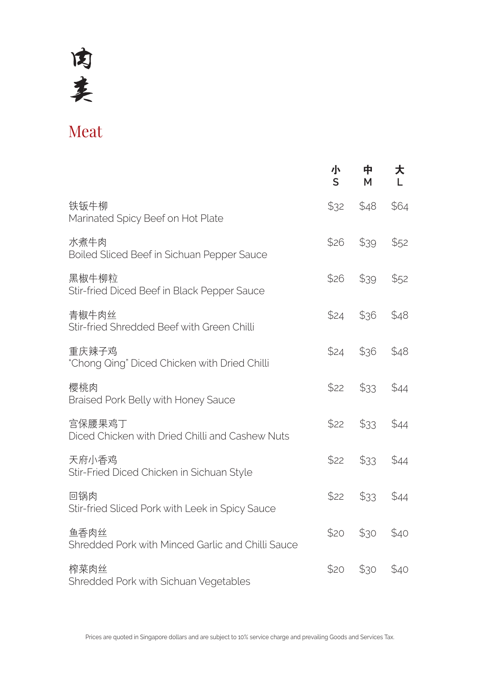## 肉类

#### Meat

|                                                           | 小<br>S | 中<br>M | 大    |
|-----------------------------------------------------------|--------|--------|------|
| 铁钣牛柳<br>Marinated Spicy Beef on Hot Plate                 | \$32   | \$48   | \$64 |
| 水煮牛肉<br>Boiled Sliced Beef in Sichuan Pepper Sauce        | \$26   | \$39   | \$52 |
| 黑椒牛柳粒<br>Stir-fried Diced Beef in Black Pepper Sauce      | \$26   | \$39   | \$52 |
| 青椒牛肉丝<br>Stir-fried Shredded Beef with Green Chilli       | \$24   | \$36   | \$48 |
| 重庆辣子鸡<br>"Chong Qing" Diced Chicken with Dried Chilli     | \$24   | \$36   | \$48 |
| 樱桃肉<br><b>Braised Pork Belly with Honey Sauce</b>         | \$22   | \$33   | \$44 |
| 宫保腰果鸡丁<br>Diced Chicken with Dried Chilli and Cashew Nuts | \$22   | \$33   | \$44 |
| 天府小香鸡<br>Stir-Fried Diced Chicken in Sichuan Style        | \$22   | \$33   | \$44 |
| 回锅肉<br>Stir-fried Sliced Pork with Leek in Spicy Sauce    | \$22   | \$33   | \$44 |
| 鱼香肉丝<br>Shredded Pork with Minced Garlic and Chilli Sauce | \$20   | \$30   | \$40 |
| 榨菜肉丝<br>Shredded Pork with Sichuan Vegetables             | \$20   | \$30   | \$40 |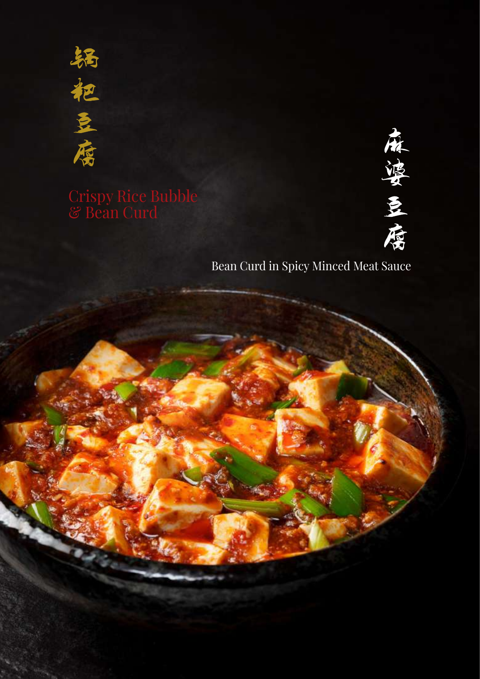



Bean Curd in Spicy Minced Meat Sauce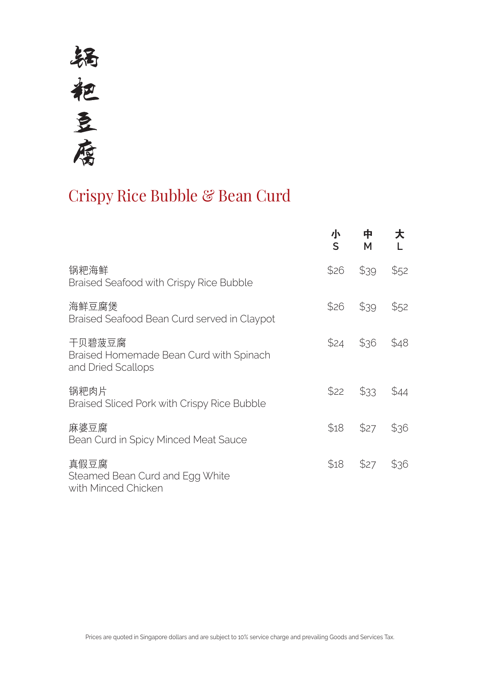# 锅把豆腐

#### Crispy Rice Bubble & Bean Curd

|                                                                         | 小<br>S | 中<br>M | 大    |
|-------------------------------------------------------------------------|--------|--------|------|
| 锅粑海鲜<br><b>Braised Seafood with Crispy Rice Bubble</b>                  | \$26   | \$39   | \$52 |
| 海鲜豆腐煲<br>Braised Seafood Bean Curd served in Claypot                    | \$26   | \$39   | \$52 |
| 干贝碧菠豆腐<br>Braised Homemade Bean Curd with Spinach<br>and Dried Scallops | \$24   | \$36   | \$48 |
| 锅粑肉片<br>Braised Sliced Pork with Crispy Rice Bubble                     | \$22   | \$33   | \$44 |
| 麻婆豆腐<br>Bean Curd in Spicy Minced Meat Sauce                            | \$18   | \$27   | \$36 |
| 真假豆腐<br>Steamed Bean Curd and Egg White<br>with Minced Chicken          | \$18   | \$27   | \$36 |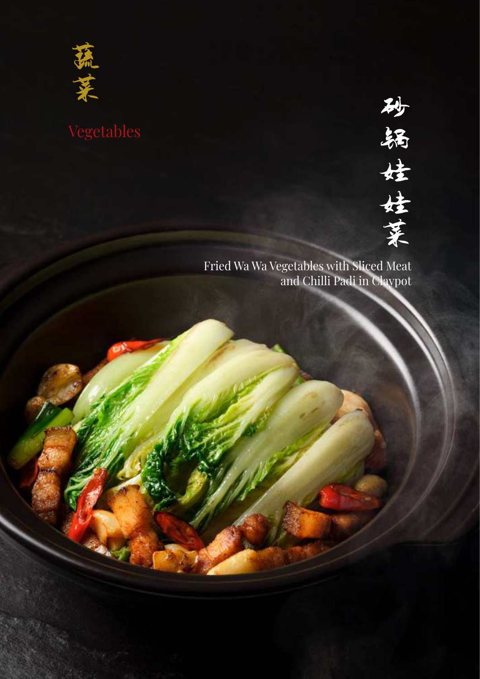

砂锅垃圾菜

Fried Wa Wa Vegetables with Sliced Meat and Chilli Padi in Claypot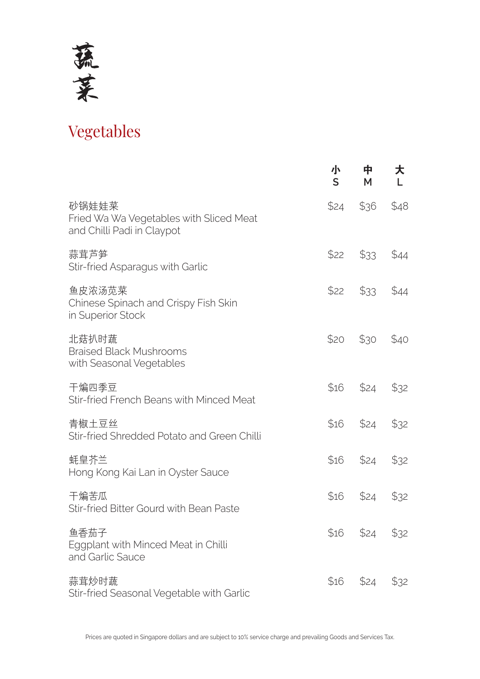

## Vegetables

|                                                                                | 小<br>S | 中<br>M      | 大    |
|--------------------------------------------------------------------------------|--------|-------------|------|
| 砂锅娃娃菜<br>Fried Wa Wa Vegetables with Sliced Meat<br>and Chilli Padi in Claypot |        | $$24$ $$36$ | \$48 |
| 蒜茸芦笋<br>Stir-fried Asparagus with Garlic                                       | \$22   | \$33        | \$44 |
| 鱼皮浓汤苋菜<br>Chinese Spinach and Crispy Fish Skin<br>in Superior Stock            | \$22   | \$33        | \$44 |
| 北菇扒时蔬<br><b>Braised Black Mushrooms</b><br>with Seasonal Vegetables            | \$20   | \$30        | \$40 |
| 干煸四季豆<br>Stir-fried French Beans with Minced Meat                              | \$16   | \$24        | \$32 |
| 青椒土豆丝<br>Stir-fried Shredded Potato and Green Chilli                           | \$16   | \$24        | \$32 |
| 蚝皇芥兰<br>Hong Kong Kai Lan in Oyster Sauce                                      | \$16   | \$24        | \$32 |
| 干煸苦瓜<br>Stir-fried Bitter Gourd with Bean Paste                                | \$16   | \$24        | \$32 |
| 鱼香茄子<br>Eggplant with Minced Meat in Chilli<br>and Garlic Sauce                | \$16   | \$24        | \$32 |
| 蒜茸炒时蔬<br>Stir-fried Seasonal Vegetable with Garlic                             | \$16   | \$24        | \$32 |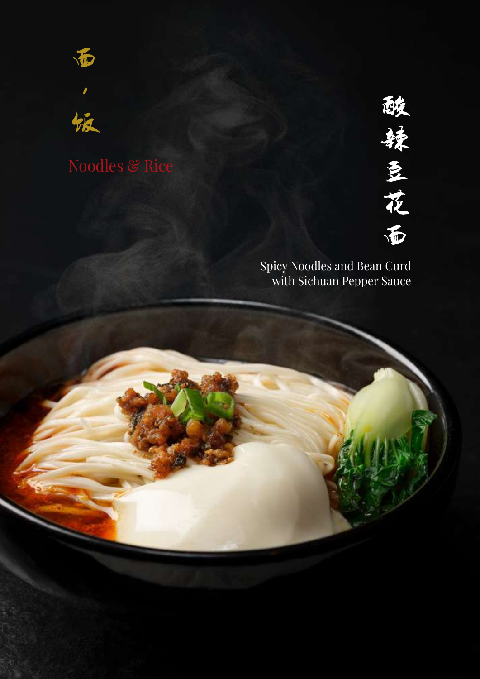





Spicy Noodles and Bean Curd with Sichuan Pepper Sauce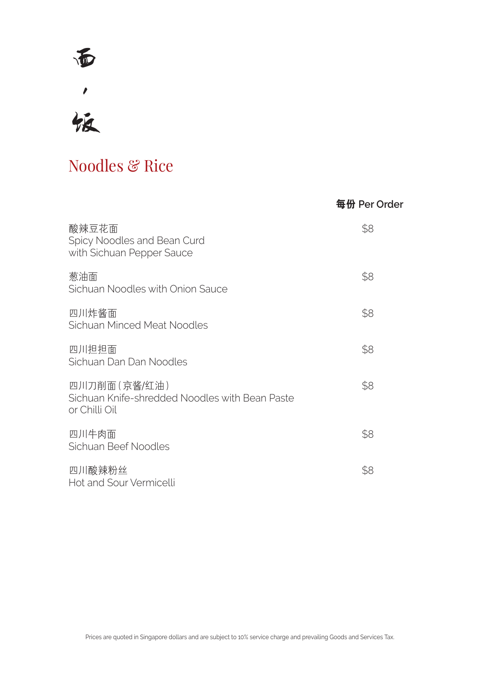

面,饭

#### **Noodles & Rice**

|                                                                                 | 每份 Per Order |
|---------------------------------------------------------------------------------|--------------|
| 酸辣豆花面<br>Spicy Noodles and Bean Curd<br>with Sichuan Pepper Sauce               | \$8          |
| 葱油面<br>Sichuan Noodles with Onion Sauce                                         | \$8          |
| 四川炸酱面<br>Sichuan Minced Meat Noodles                                            | \$8          |
| 四川担担面<br>Sichuan Dan Dan Noodles                                                | \$8          |
| 四川刀削面(京酱/红油)<br>Sichuan Knife-shredded Noodles with Bean Paste<br>or Chilli Oil | \$8          |
| 四川牛肉面<br>Sichuan Beef Noodles                                                   | \$8          |
| 四川酸辣粉丝<br>Hot and Sour Vermicelli                                               | \$8          |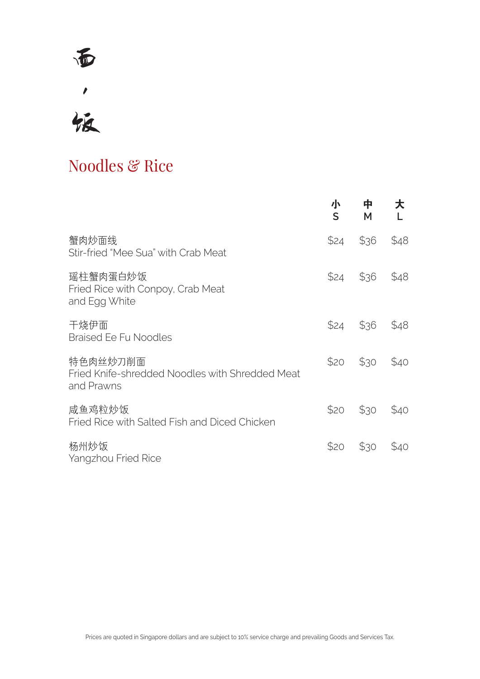面,饭

#### **Noodles & Rice**

|                                                                           | 小<br>S | 中<br>M | 大    |
|---------------------------------------------------------------------------|--------|--------|------|
| 蟹肉炒面线<br>Stir-fried "Mee Sua" with Crab Meat                              | \$24   | \$36   | \$48 |
| 瑶柱蟹肉蛋白炒饭<br>Fried Rice with Conpoy, Crab Meat<br>and Egg White            | \$24   | \$36   | \$48 |
| 干烧伊面<br><b>Braised Ee Fu Noodles</b>                                      | \$24   | \$36   | \$48 |
| 特色肉丝炒刀削面<br>Fried Knife-shredded Noodles with Shredded Meat<br>and Prawns | \$20   | \$30   | \$40 |
| 咸鱼鸡粒炒饭<br>Fried Rice with Salted Fish and Diced Chicken                   | \$20   | \$30   | \$40 |
| 杨州炒饭<br>Yangzhou Fried Rice                                               | \$20   | \$30   | \$40 |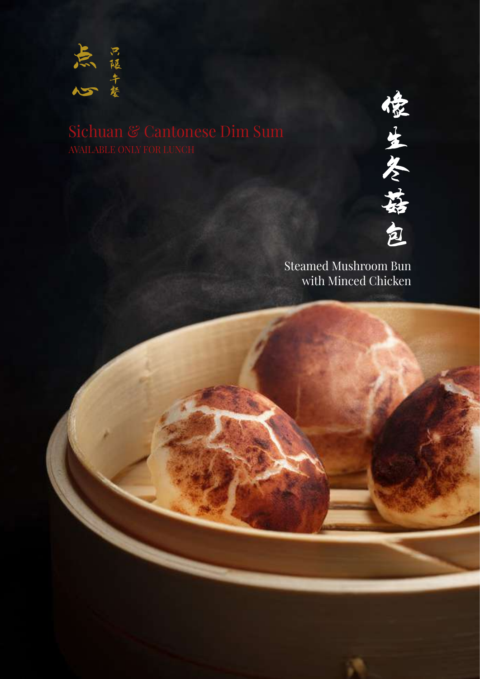



Steamed Mushroom Bun with Minced Chicken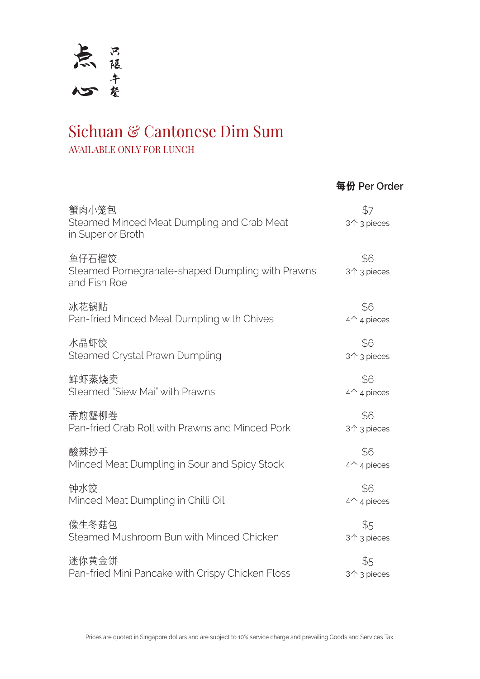

#### Sichuan & Cantonese Dim Sum AVAILABLE ONLY FOR LUNCH

| 蟹肉小笼包<br>Steamed Minced Meat Dumpling and Crab Meat<br>in Superior Broth | \$7<br>3个 3 pieces |
|--------------------------------------------------------------------------|--------------------|
| 鱼仔石榴饺<br>Steamed Pomegranate-shaped Dumpling with Prawns<br>and Fish Roe | \$6<br>3个 3 pieces |
| 冰花锅贴<br>Pan-fried Minced Meat Dumpling with Chives                       | \$6<br>4个 4 pieces |
| 水晶虾饺<br><b>Steamed Crystal Prawn Dumpling</b>                            | \$6<br>3个 3 pieces |
| 鲜虾蒸烧卖<br><b>Steamed "Siew Mai" with Prawns</b>                           | \$6<br>4个 4 pieces |
| 香煎蟹柳卷<br>Pan-fried Crab Roll with Prawns and Minced Pork                 | \$6<br>3个 3 pieces |
| 酸辣抄手<br>Minced Meat Dumpling in Sour and Spicy Stock                     | \$6<br>4个 4 pieces |
| 钟水饺<br>Minced Meat Dumpling in Chilli Oil                                | \$6<br>4个 4 pieces |
| 像生冬菇包<br>Steamed Mushroom Bun with Minced Chicken                        | \$5<br>3个 3 pieces |
| 迷你黄金饼<br>Pan-fried Mini Pancake with Crispy Chicken Floss                | \$5<br>3个 3 pieces |

 每份 **Per Order**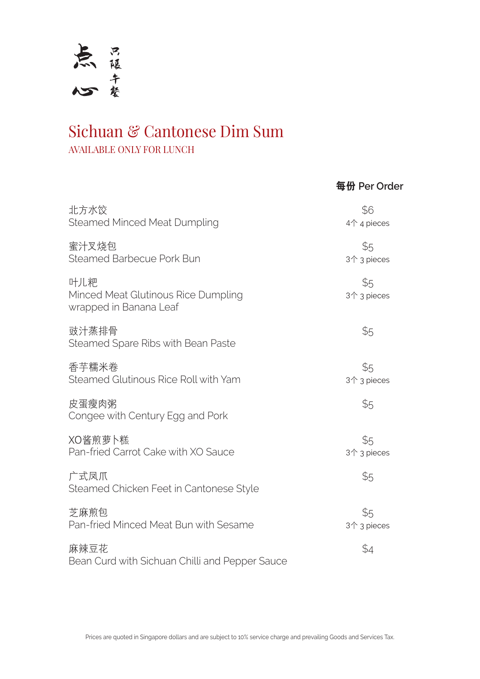

#### Sichuan & Cantonese Dim Sum AVAILABLE ONLY FOR LUNCH

北方水饺 いっちょう いっちょう しゅうしょう いっちょう いちのし いちのし いちのし ふくしょう いちのし いちのし しんしゃ いちのし しんしゃ しんしゃ しんしゃ しんしゃ しんしゃ Steamed Minced Meat Dumpling and a metal and the 4个 4 pieces 蜜汁叉烧包 あいしゃ ちょうしゃ しゅうしゃ おおし おおし いちのみ いちのみ いちのみ あいしゃ かいしゃ おおし かいしゃ Steamed Barbecue Pork Bun 3个 3 pieces 叶儿粑 いっちょう ちょうしょう しゅうしょう しゅうしょう いちのみ いちのみ いちのみ いちのみ かいしょう Minced Meat Glutinous Rice Dumpling and the state of 3个 3 pieces wrapped in Banana Leaf 豉汁蒸排骨 \$5 Steamed Spare Ribs with Bean Paste 香芋糯米卷 \$5 Steamed Glutinous Rice Roll with Yam 30 and 3个 3 pieces **皮蛋瘦肉粥 あまつ あまつ あまつ しょうしょう しょうしょう** あまつ ようしょう Congee with Century Egg and Pork XO酱煎萝卜糕 \$5 Pan-fried Carrot Cake with XO Sauce 3个 3 pieces 广式凤爪 \$5 Steamed Chicken Feet in Cantonese Style 芝麻煎包 \$5 Pan-fried Minced Meat Bun with Sesame 3个 3 pieces 麻辣豆花 いっきょう しゅうしゃ しゅうしゃ いっちゅう いちゅうしゃ いちゅうしゃ いちのし いちのし あいしゃ

 每份 **Per Order**

Bean Curd with Sichuan Chilli and Pepper Sauce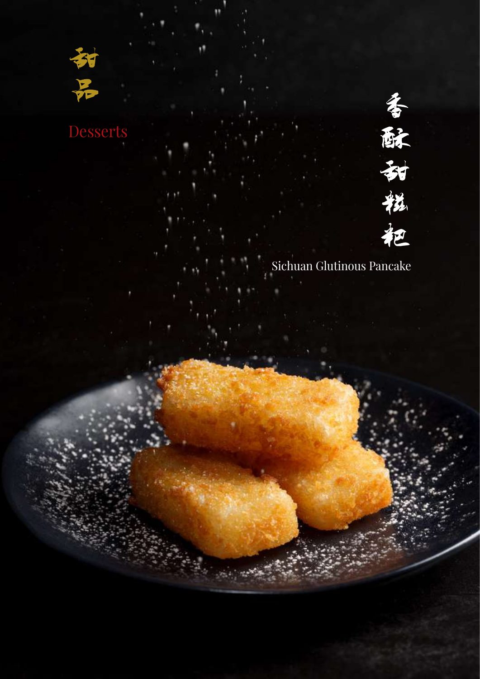

各酥甜艳把

Sichuan Glutinous Pancake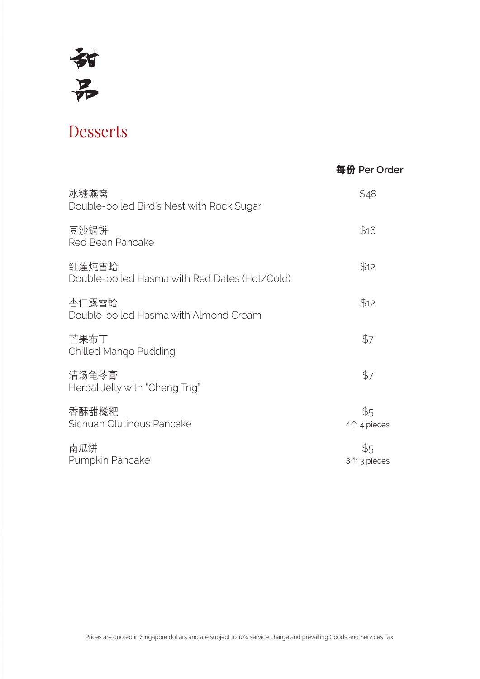

#### **Desserts**

 每份 **Per Order**

| 冰糖燕窝<br>Double-boiled Bird's Nest with Rock Sugar      | \$48               |
|--------------------------------------------------------|--------------------|
| 豆沙锅饼<br>Red Bean Pancake                               | \$16               |
| 红莲炖雪蛤<br>Double-boiled Hasma with Red Dates (Hot/Cold) | \$12               |
| 杏仁露雪蛤<br>Double-boiled Hasma with Almond Cream         | \$12               |
| 芒果布丁<br>Chilled Mango Pudding                          | \$7                |
| 清汤龟苓膏<br>Herbal Jelly with "Cheng Tng"                 | \$7                |
| 香酥甜糍粑<br>Sichuan Glutinous Pancake                     | \$5<br>4个 4 pieces |
| 南瓜饼<br>Pumpkin Pancake                                 | \$5<br>3个 3 pieces |